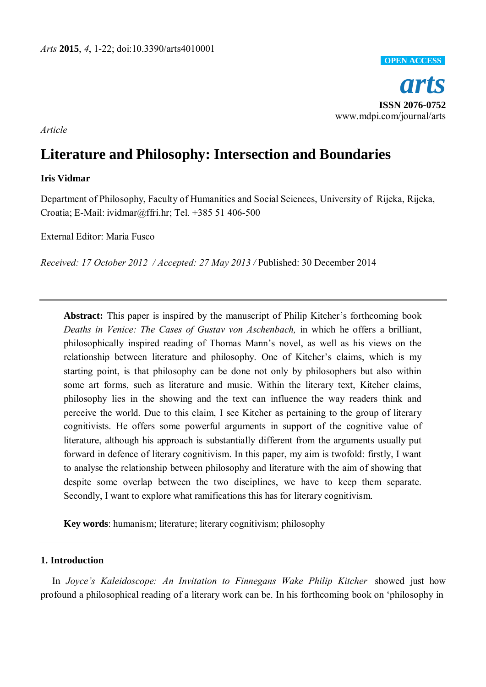

## *Article*

# **Literature and Philosophy: Intersection and Boundaries**

## **Iris Vidmar**

Department of Philosophy, Faculty of Humanities and Social Sciences, University of Rijeka, Rijeka, Croatia; E-Mail[: ividmar@ffri.hr;](mailto:ividmar@ffri.hr) Tel. +385 51 406-500

External Editor: Maria Fusco

*Received: 17 October 2012 / Accepted: 27 May 2013 /* Published: 30 December 2014

**Abstract:** This paper is inspired by the manuscript of Philip Kitcher's forthcoming book *Deaths in Venice: The Cases of Gustav von Aschenbach,* in which he offers a brilliant, philosophically inspired reading of Thomas Mann's novel, as well as his views on the relationship between literature and philosophy. One of Kitcher's claims, which is my starting point, is that philosophy can be done not only by philosophers but also within some art forms, such as literature and music. Within the literary text, Kitcher claims, philosophy lies in the showing and the text can influence the way readers think and perceive the world. Due to this claim, I see Kitcher as pertaining to the group of literary cognitivists. He offers some powerful arguments in support of the cognitive value of literature, although his approach is substantially different from the arguments usually put forward in defence of literary cognitivism. In this paper, my aim is twofold: firstly, I want to analyse the relationship between philosophy and literature with the aim of showing that despite some overlap between the two disciplines, we have to keep them separate. Secondly, I want to explore what ramifications this has for literary cognitivism.

**Key words**: humanism; literature; literary cognitivism; philosophy

## **1. Introduction**

In *Joyce's Kaleidoscope: An Invitation to Finnegans Wake Philip Kitcher showed just how* profound a philosophical reading of a literary work can be. In his forthcoming book on 'philosophy in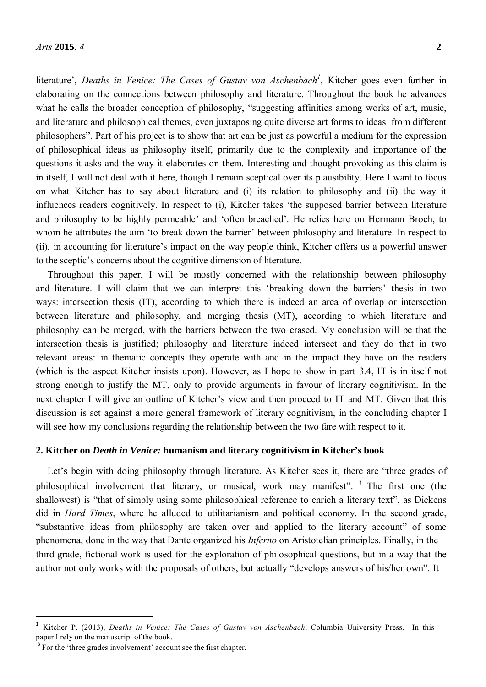literature', *Deaths in Venice: The Cases of Gustav von Aschenbach<sup>1</sup>* , Kitcher goes even further in elaborating on the connections between philosophy and literature. Throughout the book he advances what he calls the broader conception of philosophy, "suggesting affinities among works of art, music, and literature and philosophical themes, even juxtaposing quite diverse art forms to ideas from different philosophers". Part of his project is to show that art can be just as powerful a medium for the expression of philosophical ideas as philosophy itself, primarily due to the complexity and importance of the questions it asks and the way it elaborates on them. Interesting and thought provoking as this claim is in itself, I will not deal with it here, though I remain sceptical over its plausibility. Here I want to focus on what Kitcher has to say about literature and (i) its relation to philosophy and (ii) the way it influences readers cognitively. In respect to (i), Kitcher takes 'the supposed barrier between literature and philosophy to be highly permeable' and 'often breached'. He relies here on Hermann Broch, to whom he attributes the aim 'to break down the barrier' between philosophy and literature. In respect to (ii), in accounting for literature's impact on the way people think, Kitcher offers us a powerful answer to the sceptic's concerns about the cognitive dimension of literature.

Throughout this paper, I will be mostly concerned with the relationship between philosophy and literature. I will claim that we can interpret this 'breaking down the barriers' thesis in two ways: intersection thesis (IT), according to which there is indeed an area of overlap or intersection between literature and philosophy, and merging thesis (MT), according to which literature and philosophy can be merged, with the barriers between the two erased. My conclusion will be that the intersection thesis is justified; philosophy and literature indeed intersect and they do that in two relevant areas: in thematic concepts they operate with and in the impact they have on the readers (which is the aspect Kitcher insists upon). However, as I hope to show in part 3.4, IT is in itself not strong enough to justify the MT, only to provide arguments in favour of literary cognitivism. In the next chapter I will give an outline of Kitcher's view and then proceed to IT and MT. Given that this discussion is set against a more general framework of literary cognitivism, in the concluding chapter I will see how my conclusions regarding the relationship between the two fare with respect to it.

## **2. Kitcher on** *Death in Venice:* **humanism and literary cognitivism in Kitcher's book**

Let's begin with doing philosophy through literature. As Kitcher sees it, there are "three grades of philosophical involvement that literary, or musical, work may manifest".  $\frac{3}{7}$  The first one (the shallowest) is "that of simply using some philosophical reference to enrich a literary text", as Dickens did in *Hard Times*, where he alluded to utilitarianism and political economy. In the second grade, "substantive ideas from philosophy are taken over and applied to the literary account" of some phenomena, done in the way that Dante organized his *Inferno* on Aristotelian principles. Finally, in the third grade, fictional work is used for the exploration of philosophical questions, but in a way that the author not only works with the proposals of others, but actually "develops answers of his/her own". It

<sup>1</sup>Kitcher P. (2013), *Deaths in Venice: The Cases of Gustav von Aschenbach*, Columbia University Press. In this paper I rely on the manuscript of the book.

<sup>&</sup>lt;sup>3</sup> For the 'three grades involvement' account see the first chapter.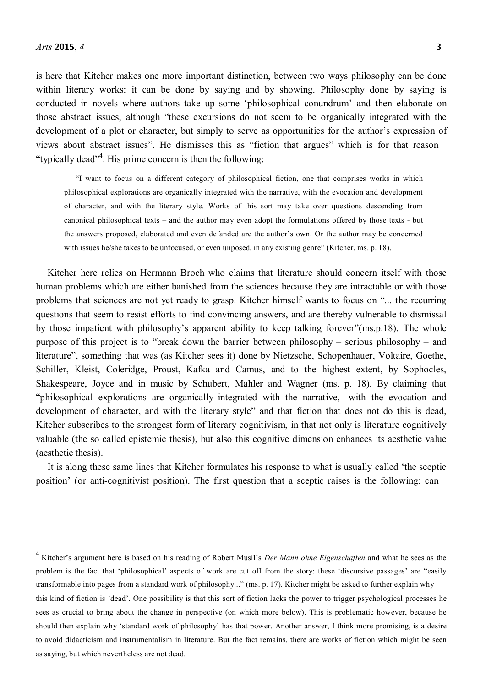is here that Kitcher makes one more important distinction, between two ways philosophy can be done within literary works: it can be done by saying and by showing. Philosophy done by saying is conducted in novels where authors take up some 'philosophical conundrum' and then elaborate on those abstract issues, although "these excursions do not seem to be organically integrated with the development of a plot or character, but simply to serve as opportunities for the author's expression of views about abstract issues". He dismisses this as "fiction that argues" which is for that reason "typically dead"<sup>4</sup>. His prime concern is then the following:

"I want to focus on a different category of philosophical fiction, one that comprises works in which philosophical explorations are organically integrated with the narrative, with the evocation and development of character, and with the literary style. Works of this sort may take over questions descending from canonical philosophical texts – and the author may even adopt the formulations offered by those texts - but the answers proposed, elaborated and even defanded are the author's own. Or the author may be concerned with issues he/she takes to be unfocused, or even unposed, in any existing genre" (Kitcher, ms. p. 18).

Kitcher here relies on Hermann Broch who claims that literature should concern itself with those human problems which are either banished from the sciences because they are intractable or with those problems that sciences are not yet ready to grasp. Kitcher himself wants to focus on "... the recurring questions that seem to resist efforts to find convincing answers, and are thereby vulnerable to dismissal by those impatient with philosophy's apparent ability to keep talking forever"(ms.p.18). The whole purpose of this project is to "break down the barrier between philosophy – serious philosophy – and literature", something that was (as Kitcher sees it) done by Nietzsche, Schopenhauer, Voltaire, Goethe, Schiller, Kleist, Coleridge, Proust, Kafka and Camus, and to the highest extent, by Sophocles, Shakespeare, Joyce and in music by Schubert, Mahler and Wagner (ms. p. 18). By claiming that "philosophical explorations are organically integrated with the narrative, with the evocation and development of character, and with the literary style" and that fiction that does not do this is dead, Kitcher subscribes to the strongest form of literary cognitivism, in that not only is literature cognitively valuable (the so called epistemic thesis), but also this cognitive dimension enhances its aesthetic value (aesthetic thesis).

It is along these same lines that Kitcher formulates his response to what is usually called 'the sceptic position' (or anti-cognitivist position). The first question that a sceptic raises is the following: can

<sup>4</sup>Kitcher's argument here is based on his reading of Robert Musil's *Der Mann ohne Eigenschaften* and what he sees as the problem is the fact that 'philosophical' aspects of work are cut off from the story: these 'discursive passages' are "easily transformable into pages from a standard work of philosophy..." (ms. p. 17). Kitcher might be asked to further explain why this kind of fiction is 'dead'. One possibility is that this sort of fiction lacks the power to trigger psychological processes he sees as crucial to bring about the change in perspective (on which more below). This is problematic however, because he should then explain why 'standard work of philosophy' has that power. Another answer, I think more promising, is a desire to avoid didacticism and instrumentalism in literature. But the fact remains, there are works of fiction which might be seen as saying, but which nevertheless are not dead.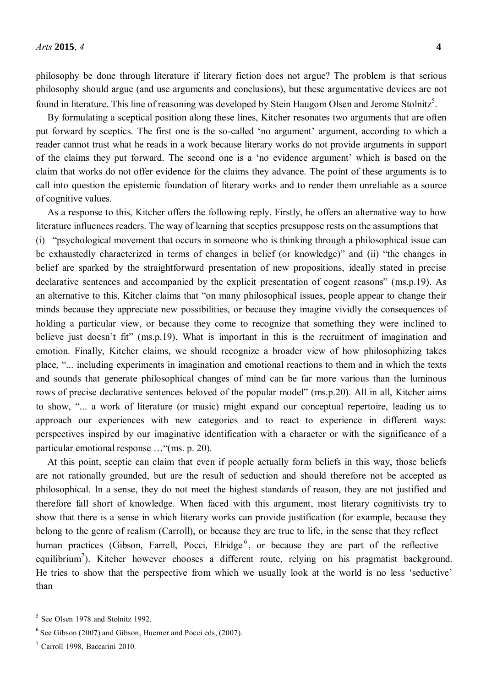philosophy be done through literature if literary fiction does not argue? The problem is that serious philosophy should argue (and use arguments and conclusions), but these argumentative devices are not found in literature. This line of reasoning was developed by Stein Haugom Olsen and Jerome Stolnitz<sup>5</sup>.

By formulating a sceptical position along these lines, Kitcher resonates two arguments that are often put forward by sceptics. The first one is the so-called 'no argument' argument, according to which a reader cannot trust what he reads in a work because literary works do not provide arguments in support of the claims they put forward. The second one is a 'no evidence argument' which is based on the claim that works do not offer evidence for the claims they advance. The point of these arguments is to call into question the epistemic foundation of literary works and to render them unreliable as a source of cognitive values.

As a response to this, Kitcher offers the following reply. Firstly, he offers an alternative way to how literature influences readers. The way of learning that sceptics presuppose rests on the assumptions that (i) "psychological movement that occurs in someone who is thinking through a philosophical issue can be exhaustedly characterized in terms of changes in belief (or knowledge)" and (ii) "the changes in belief are sparked by the straightforward presentation of new propositions, ideally stated in precise declarative sentences and accompanied by the explicit presentation of cogent reasons" (ms.p.19). As an alternative to this, Kitcher claims that "on many philosophical issues, people appear to change their minds because they appreciate new possibilities, or because they imagine vividly the consequences of holding a particular view, or because they come to recognize that something they were inclined to believe just doesn't fit" (ms.p.19). What is important in this is the recruitment of imagination and emotion. Finally, Kitcher claims, we should recognize a broader view of how philosophizing takes place, "... including experiments in imagination and emotional reactions to them and in which the texts and sounds that generate philosophical changes of mind can be far more various than the luminous rows of precise declarative sentences beloved of the popular model" (ms.p.20). All in all, Kitcher aims to show, "... a work of literature (or music) might expand our conceptual repertoire, leading us to approach our experiences with new categories and to react to experience in different ways: perspectives inspired by our imaginative identification with a character or with the significance of a particular emotional response …"(ms. p. 20).

At this point, sceptic can claim that even if people actually form beliefs in this way, those beliefs are not rationally grounded, but are the result of seduction and should therefore not be accepted as philosophical. In a sense, they do not meet the highest standards of reason, they are not justified and therefore fall short of knowledge. When faced with this argument, most literary cognitivists try to show that there is a sense in which literary works can provide justification (for example, because they belong to the genre of realism (Carroll), or because they are true to life, in the sense that they reflect human practices (Gibson, Farrell, Pocci, Elridge<sup>6</sup>, or because they are part of the reflective equilibrium<sup>7</sup>). Kitcher however chooses a different route, relying on his pragmatist background. He tries to show that the perspective from which we usually look at the world is no less 'seductive' than

 $<sup>5</sup>$  See Olsen 1978 and Stolnitz 1992.</sup>

 $6$  See Gibson (2007) and Gibson, Huemer and Pocci eds, (2007).

<sup>7</sup>Carroll 1998, Baccarini 2010.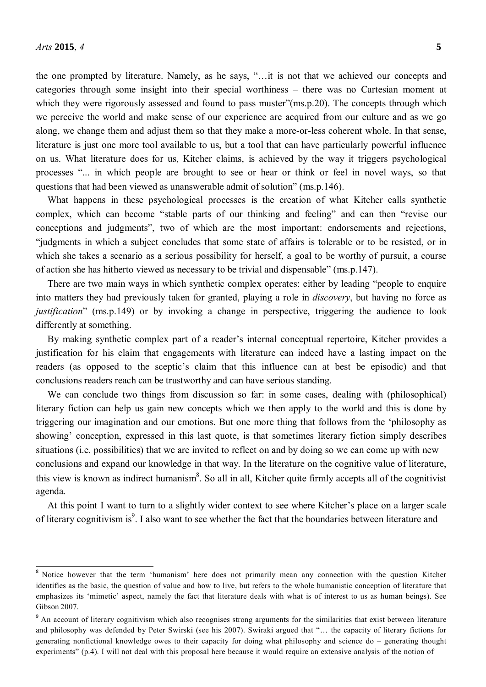the one prompted by literature. Namely, as he says, "…it is not that we achieved our concepts and categories through some insight into their special worthiness – there was no Cartesian moment at which they were rigorously assessed and found to pass muster"(ms.p.20). The concepts through which we perceive the world and make sense of our experience are acquired from our culture and as we go along, we change them and adjust them so that they make a more-or-less coherent whole. In that sense, literature is just one more tool available to us, but a tool that can have particularly powerful influence on us. What literature does for us, Kitcher claims, is achieved by the way it triggers psychological processes "... in which people are brought to see or hear or think or feel in novel ways, so that questions that had been viewed as unanswerable admit of solution" (ms.p.146).

What happens in these psychological processes is the creation of what Kitcher calls synthetic complex, which can become "stable parts of our thinking and feeling" and can then "revise our conceptions and judgments", two of which are the most important: endorsements and rejections, "judgments in which a subject concludes that some state of affairs is tolerable or to be resisted, or in which she takes a scenario as a serious possibility for herself, a goal to be worthy of pursuit, a course of action she has hitherto viewed as necessary to be trivial and dispensable" (ms.p.147).

There are two main ways in which synthetic complex operates: either by leading "people to enquire into matters they had previously taken for granted, playing a role in *discovery*, but having no force as *justification*" (ms.p.149) or by invoking a change in perspective, triggering the audience to look differently at something.

By making synthetic complex part of a reader's internal conceptual repertoire, Kitcher provides a justification for his claim that engagements with literature can indeed have a lasting impact on the readers (as opposed to the sceptic's claim that this influence can at best be episodic) and that conclusions readers reach can be trustworthy and can have serious standing.

We can conclude two things from discussion so far: in some cases, dealing with (philosophical) literary fiction can help us gain new concepts which we then apply to the world and this is done by triggering our imagination and our emotions. But one more thing that follows from the 'philosophy as showing' conception, expressed in this last quote, is that sometimes literary fiction simply describes situations (i.e. possibilities) that we are invited to reflect on and by doing so we can come up with new conclusions and expand our knowledge in that way. In the literature on the cognitive value of literature, this view is known as indirect humanism<sup>8</sup>. So all in all, Kitcher quite firmly accepts all of the cognitivist agenda.

At this point I want to turn to a slightly wider context to see where Kitcher's place on a larger scale of literary cognitivism is<sup>9</sup>. I also want to see whether the fact that the boundaries between literature and

<sup>&</sup>lt;sup>8</sup> Notice however that the term 'humanism' here does not primarily mean any connection with the question Kitcher identifies as the basic, the question of value and how to live, but refers to the whole humanistic conception of literature that emphasizes its 'mimetic' aspect, namely the fact that literature deals with what is of interest to us as human beings). See Gibson 2007.

<sup>&</sup>lt;sup>9</sup> An account of literary cognitivism which also recognises strong arguments for the similarities that exist between literature and philosophy was defended by Peter Swirski (see his 2007). Swiraki argued that "… the capacity of literary fictions for generating nonfictional knowledge owes to their capacity for doing what philosophy and science do – generating thought experiments" (p.4). I will not deal with this proposal here because it would require an extensive analysis of the notion of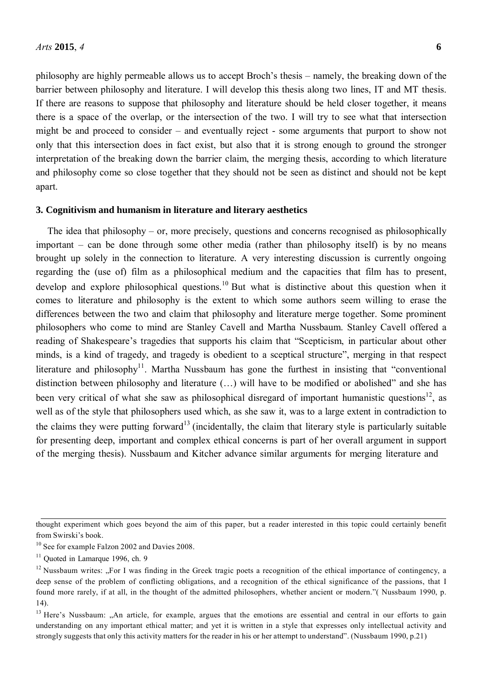philosophy are highly permeable allows us to accept Broch's thesis – namely, the breaking down of the barrier between philosophy and literature. I will develop this thesis along two lines, IT and MT thesis. If there are reasons to suppose that philosophy and literature should be held closer together, it means there is a space of the overlap, or the intersection of the two. I will try to see what that intersection might be and proceed to consider – and eventually reject - some arguments that purport to show not only that this intersection does in fact exist, but also that it is strong enough to ground the stronger interpretation of the breaking down the barrier claim, the merging thesis, according to which literature and philosophy come so close together that they should not be seen as distinct and should not be kept apart.

## **3. Cognitivism and humanism in literature and literary aesthetics**

The idea that philosophy – or, more precisely, questions and concerns recognised as philosophically important – can be done through some other media (rather than philosophy itself) is by no means brought up solely in the connection to literature. A very interesting discussion is currently ongoing regarding the (use of) film as a philosophical medium and the capacities that film has to present, develop and explore philosophical questions.<sup>10</sup> But what is distinctive about this question when it comes to literature and philosophy is the extent to which some authors seem willing to erase the differences between the two and claim that philosophy and literature merge together. Some prominent philosophers who come to mind are Stanley Cavell and Martha Nussbaum. Stanley Cavell offered a reading of Shakespeare's tragedies that supports his claim that "Scepticism, in particular about other minds, is a kind of tragedy, and tragedy is obedient to a sceptical structure", merging in that respect literature and philosophy<sup>11</sup>. Martha Nussbaum has gone the furthest in insisting that "conventional" distinction between philosophy and literature (…) will have to be modified or abolished" and she has been very critical of what she saw as philosophical disregard of important humanistic questions<sup>12</sup>, as well as of the style that philosophers used which, as she saw it, was to a large extent in contradiction to the claims they were putting forward<sup>13</sup> (incidentally, the claim that literary style is particularly suitable for presenting deep, important and complex ethical concerns is part of her overall argument in support of the merging thesis). Nussbaum and Kitcher advance similar arguments for merging literature and

thought experiment which goes beyond the aim of this paper, but a reader interested in this topic could certainly benefit from Swirski's book.

<sup>&</sup>lt;sup>10</sup> See for example Falzon 2002 and Davies 2008.

 $11$  Quoted in Lamarque 1996, ch. 9

 $12$  Nussbaum writes: "For I was finding in the Greek tragic poets a recognition of the ethical importance of contingency, a deep sense of the problem of conflicting obligations, and a recognition of the ethical significance of the passions, that I found more rarely, if at all, in the thought of the admitted philosophers, whether ancient or modern."( Nussbaum 1990, p. 14).

<sup>&</sup>lt;sup>13</sup> Here's Nussbaum: "An article, for example, argues that the emotions are essential and central in our efforts to gain understanding on any important ethical matter; and yet it is written in a style that expresses only intellectual activity and strongly suggests that only this activity matters for the reader in his or her attempt to understand". (Nussbaum 1990, p.21)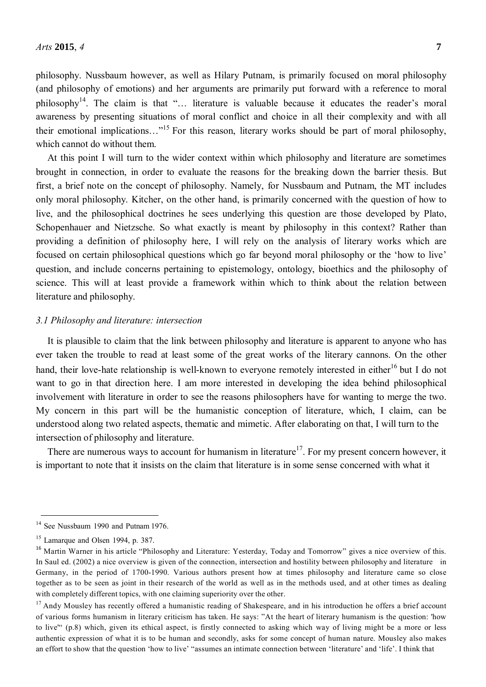philosophy. Nussbaum however, as well as Hilary Putnam, is primarily focused on moral philosophy (and philosophy of emotions) and her arguments are primarily put forward with a reference to moral philosophy<sup>14</sup>. The claim is that "... literature is valuable because it educates the reader's moral awareness by presenting situations of moral conflict and choice in all their complexity and with all their emotional implications…"<sup>15</sup> For this reason, literary works should be part of moral philosophy, which cannot do without them.

At this point I will turn to the wider context within which philosophy and literature are sometimes brought in connection, in order to evaluate the reasons for the breaking down the barrier thesis. But first, a brief note on the concept of philosophy. Namely, for Nussbaum and Putnam, the MT includes only moral philosophy. Kitcher, on the other hand, is primarily concerned with the question of how to live, and the philosophical doctrines he sees underlying this question are those developed by Plato, Schopenhauer and Nietzsche. So what exactly is meant by philosophy in this context? Rather than providing a definition of philosophy here, I will rely on the analysis of literary works which are focused on certain philosophical questions which go far beyond moral philosophy or the 'how to live' question, and include concerns pertaining to epistemology, ontology, bioethics and the philosophy of science. This will at least provide a framework within which to think about the relation between literature and philosophy.

#### *3.1 Philosophy and literature: intersection*

It is plausible to claim that the link between philosophy and literature is apparent to anyone who has ever taken the trouble to read at least some of the great works of the literary cannons. On the other hand, their love-hate relationship is well-known to everyone remotely interested in either<sup>16</sup> but I do not want to go in that direction here. I am more interested in developing the idea behind philosophical involvement with literature in order to see the reasons philosophers have for wanting to merge the two. My concern in this part will be the humanistic conception of literature, which, I claim, can be understood along two related aspects, thematic and mimetic. After elaborating on that, I will turn to the intersection of philosophy and literature.

There are numerous ways to account for humanism in literature<sup>17</sup>. For my present concern however, it is important to note that it insists on the claim that literature is in some sense concerned with what it

<sup>&</sup>lt;sup>14</sup> See Nussbaum 1990 and Putnam 1976.

 $15$  Lamarque and Olsen 1994, p. 387.

<sup>&</sup>lt;sup>16</sup> Martin Warner in his article "Philosophy and Literature: Yesterday, Today and Tomorrow" gives a nice overview of this. In Saul ed. (2002) a nice overview is given of the connection, intersection and hostility between philosophy and literature in Germany, in the period of 1700-1990. Various authors present how at times philosophy and literature came so close together as to be seen as joint in their research of the world as well as in the methods used, and at other times as dealing with completely different topics, with one claiming superiority over the other.

 $17$  Andy Mousley has recently offered a humanistic reading of Shakespeare, and in his introduction he offers a brief account of various forms humanism in literary criticism has taken. He says: "At the heart of literary humanism is the question: 'how to live'" (p.8) which, given its ethical aspect, is firstly connected to asking which way of living might be a more or less authentic expression of what it is to be human and secondly, asks for some concept of human nature. Mousley also makes an effort to show that the question 'how to live' "assumes an intimate connection between 'literature' and 'life'. I think that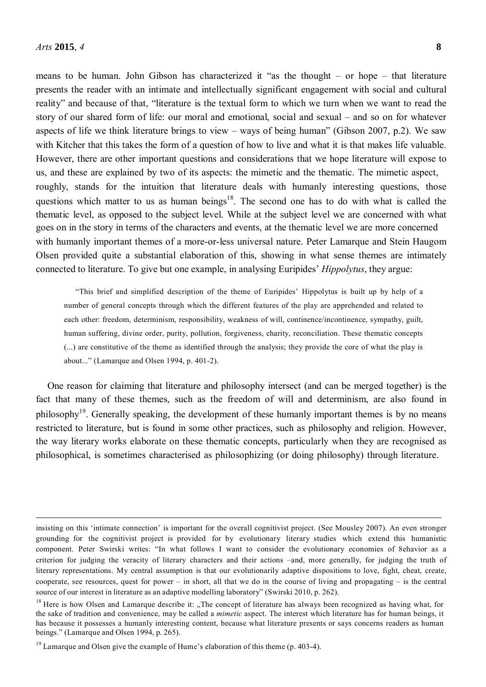means to be human. John Gibson has characterized it "as the thought – or hope – that literature presents the reader with an intimate and intellectually significant engagement with social and cultural reality" and because of that, "literature is the textual form to which we turn when we want to read the story of our shared form of life: our moral and emotional, social and sexual – and so on for whatever aspects of life we think literature brings to view – ways of being human" (Gibson 2007, p.2). We saw with Kitcher that this takes the form of a question of how to live and what it is that makes life valuable. However, there are other important questions and considerations that we hope literature will expose to us, and these are explained by two of its aspects: the mimetic and the thematic. The mimetic aspect, roughly, stands for the intuition that literature deals with humanly interesting questions, those questions which matter to us as human beings<sup>18</sup>. The second one has to do with what is called the thematic level, as opposed to the subject level. While at the subject level we are concerned with what goes on in the story in terms of the characters and events, at the thematic level we are more concerned with humanly important themes of a more-or-less universal nature. Peter Lamarque and Stein Haugom Olsen provided quite a substantial elaboration of this, showing in what sense themes are intimately connected to literature. To give but one example, in analysing Euripides' *Hippolytus*, they argue:

"This brief and simplified description of the theme of Euripides' Hippolytus is built up by help of a number of general concepts through which the different features of the play are apprehended and related to each other: freedom, determinism, responsibility, weakness of will, continence/incontinence, sympathy, guilt, human suffering, divine order, purity, pollution, forgiveness, charity, reconciliation. These thematic concepts (...) are constitutive of the theme as identified through the analysis; they provide the core of what the play is about..." (Lamarque and Olsen 1994, p. 401-2).

One reason for claiming that literature and philosophy intersect (and can be merged together) is the fact that many of these themes, such as the freedom of will and determinism, are also found in philosophy<sup>19</sup>. Generally speaking, the development of these humanly important themes is by no means restricted to literature, but is found in some other practices, such as philosophy and religion. However, the way literary works elaborate on these thematic concepts, particularly when they are recognised as philosophical, is sometimes characterised as philosophizing (or doing philosophy) through literature.

insisting on this 'intimate connection' is important for the overall cognitivist project. (See Mousley 2007). An even stronger grounding for the cognitivist project is provided for by evolutionary literary studies which extend this humanistic component. Peter Swirski writes: "In what follows I want to consider the evolutionary economies of 8ehavior as a criterion for judging the veracity of literary characters and their actions –and, more generally, for judging the truth of literary representations. My central assumption is that our evolutionarily adaptive dispositions to love, fight, cheat, create, cooperate, see resources, quest for power – in short, all that we do in the course of living and propagating – is the central source of our interest in literature as an adaptive modelling laboratory" (Swirski 2010, p. 262).

 $18$  Here is how Olsen and Lamarque describe it: "The concept of literature has always been recognized as having what, for the sake of tradition and convenience, may be called a *mimetic* aspect. The interest which literature has for human beings, it has because it possesses a humanly interesting content, because what literature presents or says concerns readers as human beings." (Lamarque and Olsen 1994, p. 265).

 $19$  Lamarque and Olsen give the example of Hume's elaboration of this theme (p. 403-4).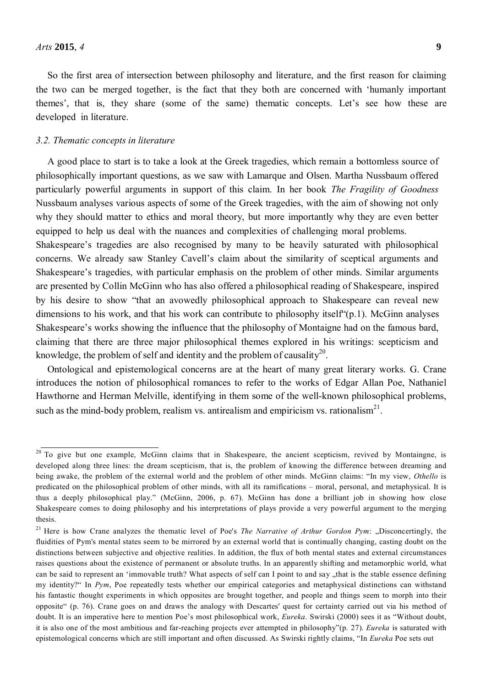So the first area of intersection between philosophy and literature, and the first reason for claiming the two can be merged together, is the fact that they both are concerned with 'humanly important themes', that is, they share (some of the same) thematic concepts. Let's see how these are developed in literature.

## *3.2. Thematic concepts in literature*

A good place to start is to take a look at the Greek tragedies, which remain a bottomless source of philosophically important questions, as we saw with Lamarque and Olsen. Martha Nussbaum offered particularly powerful arguments in support of this claim. In her book *The Fragility of Goodness*  Nussbaum analyses various aspects of some of the Greek tragedies, with the aim of showing not only why they should matter to ethics and moral theory, but more importantly why they are even better equipped to help us deal with the nuances and complexities of challenging moral problems.

Shakespeare's tragedies are also recognised by many to be heavily saturated with philosophical concerns. We already saw Stanley Cavell's claim about the similarity of sceptical arguments and Shakespeare's tragedies, with particular emphasis on the problem of other minds. Similar arguments are presented by Collin McGinn who has also offered a philosophical reading of Shakespeare, inspired by his desire to show "that an avowedly philosophical approach to Shakespeare can reveal new dimensions to his work, and that his work can contribute to philosophy itself<sup>"</sup>(p.1). McGinn analyses Shakespeare's works showing the influence that the philosophy of Montaigne had on the famous bard, claiming that there are three major philosophical themes explored in his writings: scepticism and knowledge, the problem of self and identity and the problem of causality<sup>20</sup>.

Ontological and epistemological concerns are at the heart of many great literary works. G. Crane introduces the notion of philosophical romances to refer to the works of Edgar Allan Poe, Nathaniel Hawthorne and Herman Melville, identifying in them some of the well-known philosophical problems, such as the mind-body problem, realism vs. antirealism and empiricism vs. rationalism $^{21}$ .

<sup>&</sup>lt;sup>20</sup> To give but one example, McGinn claims that in Shakespeare, the ancient scepticism, revived by Montaingne, is developed along three lines: the dream scepticism, that is, the problem of knowing the difference between dreaming and being awake, the problem of the external world and the problem of other minds. McGinn claims: "In my view, *Othello* is predicated on the philosophical problem of other minds, with all its ramifications – moral, personal, and metaphysical. It is thus a deeply philosophical play." (McGinn, 2006, p. 67). McGinn has done a brilliant job in showing how close Shakespeare comes to doing philosophy and his interpretations of plays provide a very powerful argument to the merging thesis.

<sup>&</sup>lt;sup>21</sup> Here is how Crane analyzes the thematic level of Poe's *The Narrative of Arthur Gordon Pym*: "Disconcertingly, the fluidities of Pym's mental states seem to be mirrored by an external world that is continually changing, casting doubt on the distinctions between subjective and objective realities. In addition, the flux of both mental states and external circumstances raises questions about the existence of permanent or absolute truths. In an apparently shifting and metamorphic world, what can be said to represent an 'immovable truth? What aspects of self can I point to and say "that is the stable essence defining my identity?" In *Pym*, Poe repeatedly tests whether our empirical categories and metaphysical distinctions can withstand his fantastic thought experiments in which opposites are brought together, and people and things seem to morph into their opposite" (p. 76). Crane goes on and draws the analogy with Descartes' quest for certainty carried out via his method of doubt. It is an imperative here to mention Poe's most philosophical work, *Eureka*. Swirski (2000) sees it as "Without doubt, it is also one of the most ambitious and far-reaching projects ever attempted in philosophy"(p. 27). *Eureka* is saturated with epistemological concerns which are still important and often discussed. As Swirski rightly claims, "In *Eureka* Poe sets out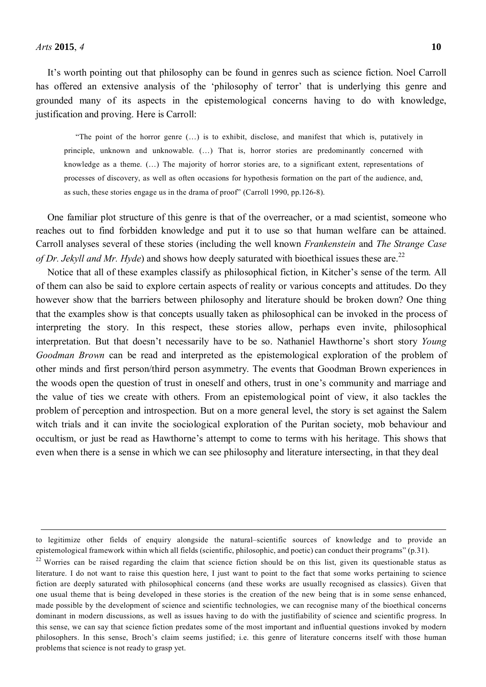It's worth pointing out that philosophy can be found in genres such as science fiction. Noel Carroll has offered an extensive analysis of the 'philosophy of terror' that is underlying this genre and grounded many of its aspects in the epistemological concerns having to do with knowledge, justification and proving. Here is Carroll:

"The point of the horror genre (…) is to exhibit, disclose, and manifest that which is, putatively in principle, unknown and unknowable. (…) That is, horror stories are predominantly concerned with knowledge as a theme. (…) The majority of horror stories are, to a significant extent, representations of processes of discovery, as well as often occasions for hypothesis formation on the part of the audience, and, as such, these stories engage us in the drama of proof" (Carroll 1990, pp.126-8).

One familiar plot structure of this genre is that of the overreacher, or a mad scientist, someone who reaches out to find forbidden knowledge and put it to use so that human welfare can be attained. Carroll analyses several of these stories (including the well known *Frankenstein* and *The Strange Case of Dr. Jekyll and Mr. Hyde*) and shows how deeply saturated with bioethical issues these are.<sup>22</sup>

Notice that all of these examples classify as philosophical fiction, in Kitcher's sense of the term. All of them can also be said to explore certain aspects of reality or various concepts and attitudes. Do they however show that the barriers between philosophy and literature should be broken down? One thing that the examples show is that concepts usually taken as philosophical can be invoked in the process of interpreting the story. In this respect, these stories allow, perhaps even invite, philosophical interpretation. But that doesn't necessarily have to be so. Nathaniel Hawthorne's short story *Young Goodman Brown* can be read and interpreted as the epistemological exploration of the problem of other minds and first person/third person asymmetry. The events that Goodman Brown experiences in the woods open the question of trust in oneself and others, trust in one's community and marriage and the value of ties we create with others. From an epistemological point of view, it also tackles the problem of perception and introspection. But on a more general level, the story is set against the Salem witch trials and it can invite the sociological exploration of the Puritan society, mob behaviour and occultism, or just be read as Hawthorne's attempt to come to terms with his heritage. This shows that even when there is a sense in which we can see philosophy and literature intersecting, in that they deal

to legitimize other fields of enquiry alongside the natural–scientific sources of knowledge and to provide an epistemological framework within which all fields (scientific, philosophic, and poetic) can conduct their programs" (p.31).

<sup>&</sup>lt;sup>22</sup> Worries can be raised regarding the claim that science fiction should be on this list, given its questionable status as literature. I do not want to raise this question here, I just want to point to the fact that some works pertaining to science fiction are deeply saturated with philosophical concerns (and these works are usually recognised as classics). Given that one usual theme that is being developed in these stories is the creation of the new being that is in some sense enhanced, made possible by the development of science and scientific technologies, we can recognise many of the bioethical concerns dominant in modern discussions, as well as issues having to do with the justifiability of science and scientific progress. In this sense, we can say that science fiction predates some of the most important and influential questions invoked by modern philosophers. In this sense, Broch's claim seems justified; i.e. this genre of literature concerns itself with those human problems that science is not ready to grasp yet.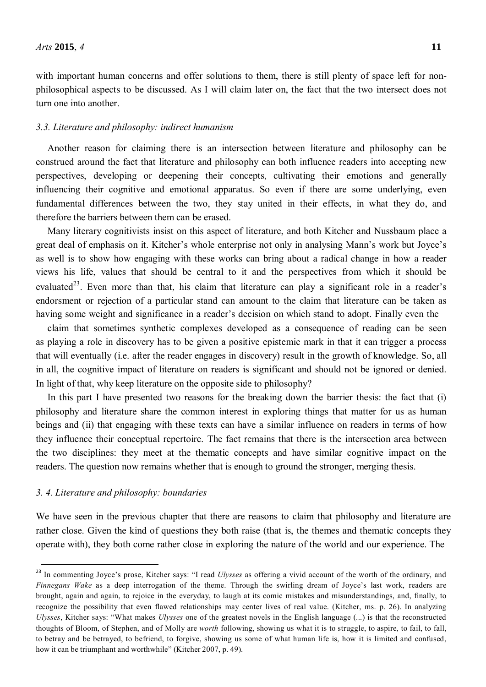with important human concerns and offer solutions to them, there is still plenty of space left for nonphilosophical aspects to be discussed. As I will claim later on, the fact that the two intersect does not turn one into another.

#### *3.3. Literature and philosophy: indirect humanism*

Another reason for claiming there is an intersection between literature and philosophy can be construed around the fact that literature and philosophy can both influence readers into accepting new perspectives, developing or deepening their concepts, cultivating their emotions and generally influencing their cognitive and emotional apparatus. So even if there are some underlying, even fundamental differences between the two, they stay united in their effects, in what they do, and therefore the barriers between them can be erased.

Many literary cognitivists insist on this aspect of literature, and both Kitcher and Nussbaum place a great deal of emphasis on it. Kitcher's whole enterprise not only in analysing Mann's work but Joyce's as well is to show how engaging with these works can bring about a radical change in how a reader views his life, values that should be central to it and the perspectives from which it should be evaluated<sup>23</sup>. Even more than that, his claim that literature can play a significant role in a reader's endorsment or rejection of a particular stand can amount to the claim that literature can be taken as having some weight and significance in a reader's decision on which stand to adopt. Finally even the

claim that sometimes synthetic complexes developed as a consequence of reading can be seen as playing a role in discovery has to be given a positive epistemic mark in that it can trigger a process that will eventually (i.e. after the reader engages in discovery) result in the growth of knowledge. So, all in all, the cognitive impact of literature on readers is significant and should not be ignored or denied. In light of that, why keep literature on the opposite side to philosophy?

In this part I have presented two reasons for the breaking down the barrier thesis: the fact that (i) philosophy and literature share the common interest in exploring things that matter for us as human beings and (ii) that engaging with these texts can have a similar influence on readers in terms of how they influence their conceptual repertoire. The fact remains that there is the intersection area between the two disciplines: they meet at the thematic concepts and have similar cognitive impact on the readers. The question now remains whether that is enough to ground the stronger, merging thesis.

#### *3. 4. Literature and philosophy: boundaries*

We have seen in the previous chapter that there are reasons to claim that philosophy and literature are rather close. Given the kind of questions they both raise (that is, the themes and thematic concepts they operate with), they both come rather close in exploring the nature of the world and our experience. The

<sup>23</sup> In commenting Joyce's prose, Kitcher says: "I read *Ulysses* as offering a vivid account of the worth of the ordinary, and *Finnegans Wake* as a deep interrogation of the theme. Through the swirling dream of Joyce's last work, readers are brought, again and again, to rejoice in the everyday, to laugh at its comic mistakes and misunderstandings, and, finally, to recognize the possibility that even flawed relationships may center lives of real value. (Kitcher, ms. p. 26). In analyzing *Ulysses*, Kitcher says: "What makes *Ulysses* one of the greatest novels in the English language (...) is that the reconstructed thoughts of Bloom, of Stephen, and of Molly are *worth* following, showing us what it is to struggle, to aspire, to fail, to fall, to betray and be betrayed, to befriend, to forgive, showing us some of what human life is, how it is limited and confused, how it can be triumphant and worthwhile" (Kitcher 2007, p. 49).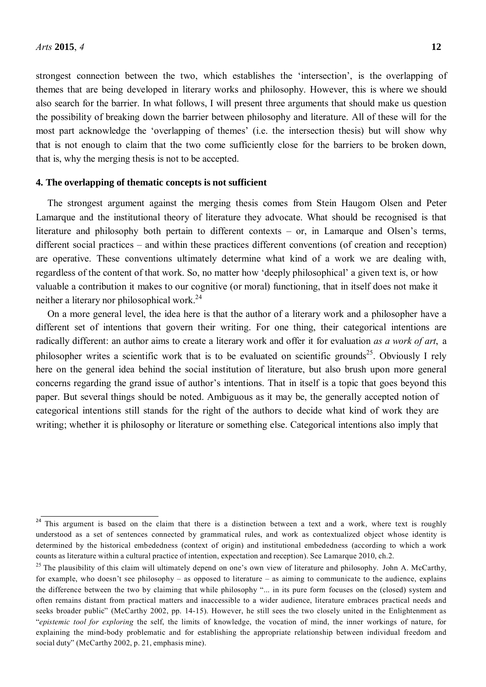strongest connection between the two, which establishes the 'intersection', is the overlapping of themes that are being developed in literary works and philosophy. However, this is where we should also search for the barrier. In what follows, I will present three arguments that should make us question the possibility of breaking down the barrier between philosophy and literature. All of these will for the most part acknowledge the 'overlapping of themes' (i.e. the intersection thesis) but will show why that is not enough to claim that the two come sufficiently close for the barriers to be broken down, that is, why the merging thesis is not to be accepted.

#### **4. The overlapping of thematic concepts is not sufficient**

The strongest argument against the merging thesis comes from Stein Haugom Olsen and Peter Lamarque and the institutional theory of literature they advocate. What should be recognised is that literature and philosophy both pertain to different contexts – or, in Lamarque and Olsen's terms, different social practices – and within these practices different conventions (of creation and reception) are operative. These conventions ultimately determine what kind of a work we are dealing with, regardless of the content of that work. So, no matter how 'deeply philosophical' a given text is, or how valuable a contribution it makes to our cognitive (or moral) functioning, that in itself does not make it neither a literary nor philosophical work  $^{24}$ 

On a more general level, the idea here is that the author of a literary work and a philosopher have a different set of intentions that govern their writing. For one thing, their categorical intentions are radically different: an author aims to create a literary work and offer it for evaluation *as a work of art*, a philosopher writes a scientific work that is to be evaluated on scientific grounds<sup>25</sup>. Obviously I rely here on the general idea behind the social institution of literature, but also brush upon more general concerns regarding the grand issue of author's intentions. That in itself is a topic that goes beyond this paper. But several things should be noted. Ambiguous as it may be, the generally accepted notion of categorical intentions still stands for the right of the authors to decide what kind of work they are writing; whether it is philosophy or literature or something else. Categorical intentions also imply that

<sup>&</sup>lt;sup>24</sup> This argument is based on the claim that there is a distinction between a text and a work, where text is roughly understood as a set of sentences connected by grammatical rules, and work as contextualized object whose identity is determined by the historical embededness (context of origin) and institutional embededness (according to which a work counts as literature within a cultural practice of intention, expectation and reception). See Lamarque 2010, ch.2.

<sup>&</sup>lt;sup>25</sup> The plausibility of this claim will ultimately depend on one's own view of literature and philosophy. John A. McCarthy, for example, who doesn't see philosophy – as opposed to literature – as aiming to communicate to the audience, explains the difference between the two by claiming that while philosophy "... in its pure form focuses on the (closed) system and often remains distant from practical matters and inaccessible to a wider audience, literature embraces practical needs and seeks broader public" (McCarthy 2002, pp. 14-15). However, he still sees the two closely united in the Enlightenment as "*epistemic tool for exploring* the self, the limits of knowledge, the vocation of mind, the inner workings of nature, for explaining the mind-body problematic and for establishing the appropriate relationship between individual freedom and social duty" (McCarthy 2002, p. 21, emphasis mine).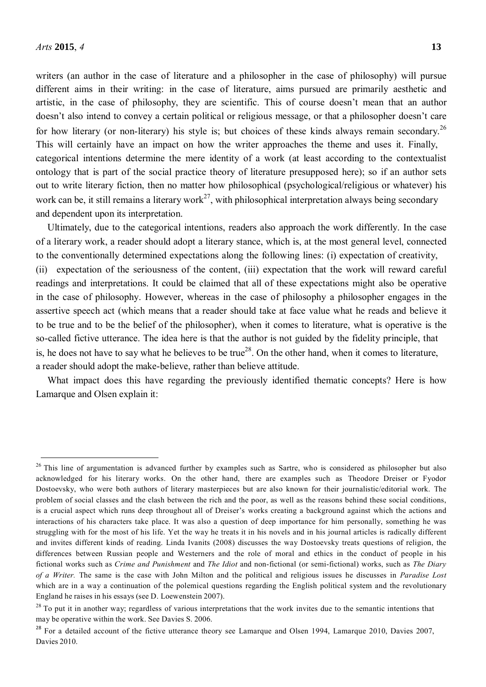writers (an author in the case of literature and a philosopher in the case of philosophy) will pursue different aims in their writing: in the case of literature, aims pursued are primarily aesthetic and artistic, in the case of philosophy, they are scientific. This of course doesn't mean that an author doesn't also intend to convey a certain political or religious message, or that a philosopher doesn't care for how literary (or non-literary) his style is; but choices of these kinds always remain secondary.<sup>26</sup> This will certainly have an impact on how the writer approaches the theme and uses it. Finally, categorical intentions determine the mere identity of a work (at least according to the contextualist ontology that is part of the social practice theory of literature presupposed here); so if an author sets out to write literary fiction, then no matter how philosophical (psychological/religious or whatever) his work can be, it still remains a literary work<sup>27</sup>, with philosophical interpretation always being secondary and dependent upon its interpretation.

Ultimately, due to the categorical intentions, readers also approach the work differently. In the case of a literary work, a reader should adopt a literary stance, which is, at the most general level, connected to the conventionally determined expectations along the following lines: (i) expectation of creativity, (ii) expectation of the seriousness of the content, (iii) expectation that the work will reward careful readings and interpretations. It could be claimed that all of these expectations might also be operative in the case of philosophy. However, whereas in the case of philosophy a philosopher engages in the assertive speech act (which means that a reader should take at face value what he reads and believe it to be true and to be the belief of the philosopher), when it comes to literature, what is operative is the so-called fictive utterance. The idea here is that the author is not guided by the fidelity principle, that is, he does not have to say what he believes to be true<sup>28</sup>. On the other hand, when it comes to literature, a reader should adopt the make-believe, rather than believe attitude.

What impact does this have regarding the previously identified thematic concepts? Here is how Lamarque and Olsen explain it:

<sup>&</sup>lt;sup>26</sup> This line of argumentation is advanced further by examples such as Sartre, who is considered as philosopher but also acknowledged for his literary works. On the other hand, there are examples such as Theodore Dreiser or Fyodor Dostoevsky, who were both authors of literary masterpieces but are also known for their journalistic/editorial work. The problem of social classes and the clash between the rich and the poor, as well as the reasons behind these social conditions, is a crucial aspect which runs deep throughout all of Dreiser's works creating a background against which the actions and interactions of his characters take place. It was also a question of deep importance for him personally, something he was struggling with for the most of his life. Yet the way he treats it in his novels and in his journal articles is radically different and invites different kinds of reading. Linda Ivanits (2008) discusses the way Dostoevsky treats questions of religion, the differences between Russian people and Westerners and the role of moral and ethics in the conduct of people in his fictional works such as *Crime and Punishment* and *The Idiot* and non-fictional (or semi-fictional) works, such as *The Diary of a Writer.* The same is the case with John Milton and the political and religious issues he discusses in *Paradise Lost*  which are in a way a continuation of the polemical questions regarding the English political system and the revolutionary England he raises in his essays (see D. Loewenstein 2007).

 $28$  To put it in another way; regardless of various interpretations that the work invites due to the semantic intentions that may be operative within the work. See Davies S. 2006.

<sup>&</sup>lt;sup>28</sup> For a detailed account of the fictive utterance theory see Lamarque and Olsen 1994, Lamarque 2010, Davies 2007, Davies 2010.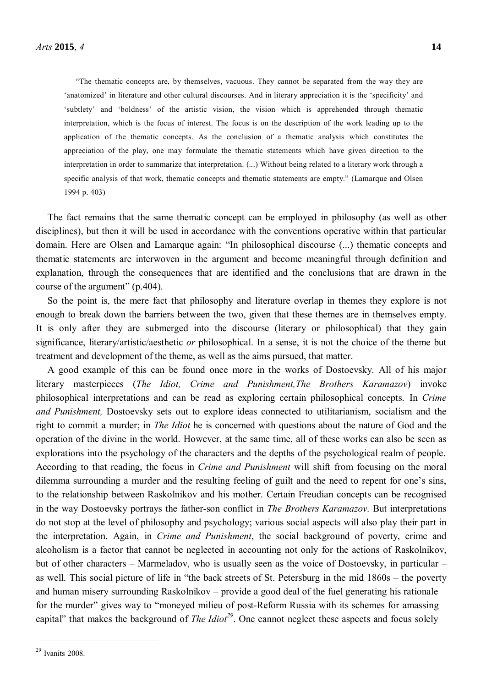"The thematic concepts are, by themselves, vacuous. They cannot be separated from the way they are 'anatomized' in literature and other cultural discourses. And in literary appreciation it is the 'specificity' and 'subtlety' and 'boldness' of the artistic vision, the vision which is apprehended through thematic interpretation, which is the focus of interest. The focus is on the description of the work leading up to the application of the thematic concepts. As the conclusion of a thematic analysis which constitutes the appreciation of the play, one may formulate the thematic statements which have given direction to the interpretation in order to summarize that interpretation. (...) Without being related to a literary work through a specific analysis of that work, thematic concepts and thematic statements are empty." (Lamarque and Olsen 1994 p. 403)

The fact remains that the same thematic concept can be employed in philosophy (as well as other disciplines), but then it will be used in accordance with the conventions operative within that particular domain. Here are Olsen and Lamarque again: "In philosophical discourse (...) thematic concepts and thematic statements are interwoven in the argument and become meaningful through definition and explanation, through the consequences that are identified and the conclusions that are drawn in the course of the argument" (p.404).

So the point is, the mere fact that philosophy and literature overlap in themes they explore is not enough to break down the barriers between the two, given that these themes are in themselves empty. It is only after they are submerged into the discourse (literary or philosophical) that they gain significance, literary/artistic/aesthetic *or* philosophical. In a sense, it is not the choice of the theme but treatment and development of the theme, as well as the aims pursued, that matter.

A good example of this can be found once more in the works of Dostoevsky. All of his major literary masterpieces (*The Idiot, Crime and Punishment,The Brothers Karamazov*) invoke philosophical interpretations and can be read as exploring certain philosophical concepts. In *Crime and Punishment,* Dostoevsky sets out to explore ideas connected to utilitarianism, socialism and the right to commit a murder; in *The Idiot* he is concerned with questions about the nature of God and the operation of the divine in the world. However, at the same time, all of these works can also be seen as explorations into the psychology of the characters and the depths of the psychological realm of people. According to that reading, the focus in *Crime and Punishment* will shift from focusing on the moral dilemma surrounding a murder and the resulting feeling of guilt and the need to repent for one's sins, to the relationship between Raskolnikov and his mother. Certain Freudian concepts can be recognised in the way Dostoevsky portrays the father-son conflict in *The Brothers Karamazov*. But interpretations do not stop at the level of philosophy and psychology; various social aspects will also play their part in the interpretation. Again, in *Crime and Punishment*, the social background of poverty, crime and alcoholism is a factor that cannot be neglected in accounting not only for the actions of Raskolnikov, but of other characters – Marmeladov, who is usually seen as the voice of Dostoevsky, in particular – as well. This social picture of life in "the back streets of St. Petersburg in the mid 1860s – the poverty and human misery surrounding Raskolnikov – provide a good deal of the fuel generating his rationale for the murder" gives way to "moneyed milieu of post-Reform Russia with its schemes for amassing capital" that makes the background of *The Idiot<sup>29</sup>*. One cannot neglect these aspects and focus solely

<sup>29</sup> Ivanits 2008.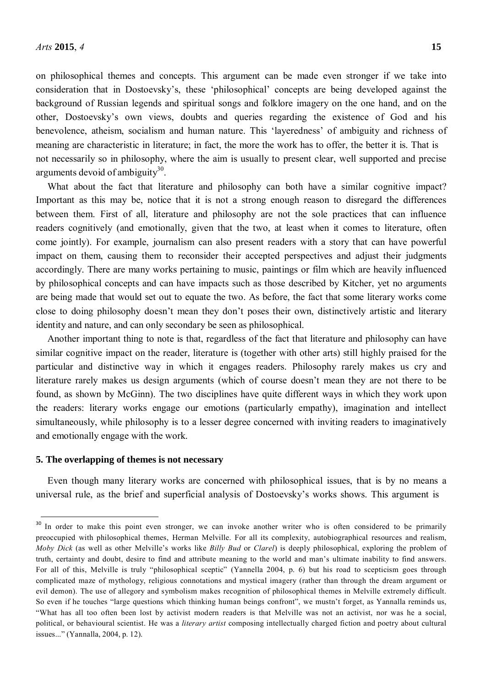on philosophical themes and concepts. This argument can be made even stronger if we take into consideration that in Dostoevsky's, these 'philosophical' concepts are being developed against the background of Russian legends and spiritual songs and folklore imagery on the one hand, and on the other, Dostoevsky's own views, doubts and queries regarding the existence of God and his benevolence, atheism, socialism and human nature. This 'layeredness' of ambiguity and richness of meaning are characteristic in literature; in fact, the more the work has to offer, the better it is. That is not necessarily so in philosophy, where the aim is usually to present clear, well supported and precise arguments devoid of ambiguity<sup>30</sup>.

What about the fact that literature and philosophy can both have a similar cognitive impact? Important as this may be, notice that it is not a strong enough reason to disregard the differences between them. First of all, literature and philosophy are not the sole practices that can influence readers cognitively (and emotionally, given that the two, at least when it comes to literature, often come jointly). For example, journalism can also present readers with a story that can have powerful impact on them, causing them to reconsider their accepted perspectives and adjust their judgments accordingly. There are many works pertaining to music, paintings or film which are heavily influenced by philosophical concepts and can have impacts such as those described by Kitcher, yet no arguments are being made that would set out to equate the two. As before, the fact that some literary works come close to doing philosophy doesn't mean they don't poses their own, distinctively artistic and literary identity and nature, and can only secondary be seen as philosophical.

Another important thing to note is that, regardless of the fact that literature and philosophy can have similar cognitive impact on the reader, literature is (together with other arts) still highly praised for the particular and distinctive way in which it engages readers. Philosophy rarely makes us cry and literature rarely makes us design arguments (which of course doesn't mean they are not there to be found, as shown by McGinn). The two disciplines have quite different ways in which they work upon the readers: literary works engage our emotions (particularly empathy), imagination and intellect simultaneously, while philosophy is to a lesser degree concerned with inviting readers to imaginatively and emotionally engage with the work.

## **5. The overlapping of themes is not necessary**

Even though many literary works are concerned with philosophical issues, that is by no means a universal rule, as the brief and superficial analysis of Dostoevsky's works shows. This argument is

<sup>&</sup>lt;sup>30</sup> In order to make this point even stronger, we can invoke another writer who is often considered to be primarily preoccupied with philosophical themes, Herman Melville. For all its complexity, autobiographical resources and realism, *Moby Dick* (as well as other Melville's works like *Billy Bud* or *Clarel*) is deeply philosophical, exploring the problem of truth, certainty and doubt, desire to find and attribute meaning to the world and man's ultimate inability to find answers. For all of this, Melville is truly "philosophical sceptic" (Yannella 2004, p. 6) but his road to scepticism goes through complicated maze of mythology, religious connotations and mystical imagery (rather than through the dream argument or evil demon). The use of allegory and symbolism makes recognition of philosophical themes in Melville extremely difficult. So even if he touches "large questions which thinking human beings confront", we mustn't forget, as Yannalla reminds us, "What has all too often been lost by activist modern readers is that Melville was not an activist, nor was he a social, political, or behavioural scientist. He was a *literary artist* composing intellectually charged fiction and poetry about cultural issues..." (Yannalla, 2004, p. 12).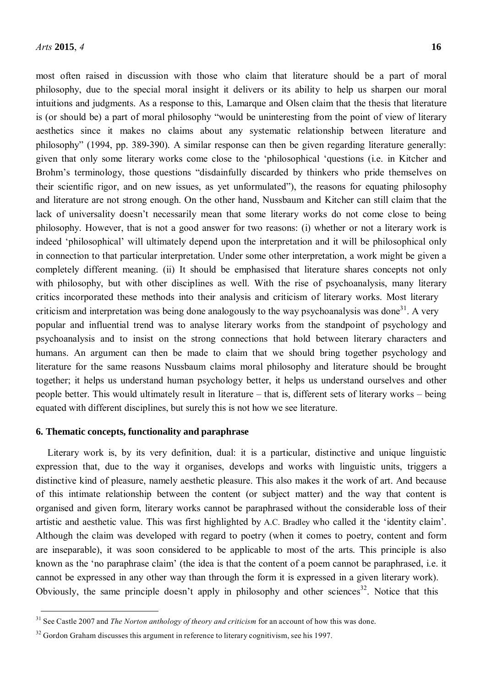most often raised in discussion with those who claim that literature should be a part of moral philosophy, due to the special moral insight it delivers or its ability to help us sharpen our moral intuitions and judgments. As a response to this, Lamarque and Olsen claim that the thesis that literature is (or should be) a part of moral philosophy "would be uninteresting from the point of view of literary aesthetics since it makes no claims about any systematic relationship between literature and philosophy" (1994, pp. 389-390). A similar response can then be given regarding literature generally: given that only some literary works come close to the 'philosophical 'questions (i.e. in Kitcher and Brohm's terminology, those questions "disdainfully discarded by thinkers who pride themselves on their scientific rigor, and on new issues, as yet unformulated"), the reasons for equating philosophy and literature are not strong enough. On the other hand, Nussbaum and Kitcher can still claim that the lack of universality doesn't necessarily mean that some literary works do not come close to being philosophy. However, that is not a good answer for two reasons: (i) whether or not a literary work is indeed 'philosophical' will ultimately depend upon the interpretation and it will be philosophical only in connection to that particular interpretation. Under some other interpretation, a work might be given a completely different meaning. (ii) It should be emphasised that literature shares concepts not only with philosophy, but with other disciplines as well. With the rise of psychoanalysis, many literary critics incorporated these methods into their analysis and criticism of literary works. Most literary criticism and interpretation was being done analogously to the way psychoanalysis was done<sup>31</sup>. A very popular and influential trend was to analyse literary works from the standpoint of psychology and psychoanalysis and to insist on the strong connections that hold between literary characters and humans. An argument can then be made to claim that we should bring together psychology and literature for the same reasons Nussbaum claims moral philosophy and literature should be brought together; it helps us understand human psychology better, it helps us understand ourselves and other people better. This would ultimately result in literature – that is, different sets of literary works – being equated with different disciplines, but surely this is not how we see literature.

#### **6. Thematic concepts, functionality and paraphrase**

Literary work is, by its very definition, dual: it is a particular, distinctive and unique linguistic expression that, due to the way it organises, develops and works with linguistic units, triggers a distinctive kind of pleasure, namely aesthetic pleasure. This also makes it the work of art. And because of this intimate relationship between the content (or subject matter) and the way that content is organised and given form, literary works cannot be paraphrased without the considerable loss of their artistic and aesthetic value. This was first highlighted by A.C. Bradley who called it the 'identity claim'. Although the claim was developed with regard to poetry (when it comes to poetry, content and form are inseparable), it was soon considered to be applicable to most of the arts. This principle is also known as the 'no paraphrase claim' (the idea is that the content of a poem cannot be paraphrased, i.e. it cannot be expressed in any other way than through the form it is expressed in a given literary work). Obviously, the same principle doesn't apply in philosophy and other sciences<sup>32</sup>. Notice that this

<sup>31</sup> See Castle 2007 and *The Norton anthology of theory and criticism* for an account of how this was done.

 $32$  Gordon Graham discusses this argument in reference to literary cognitivism, see his 1997.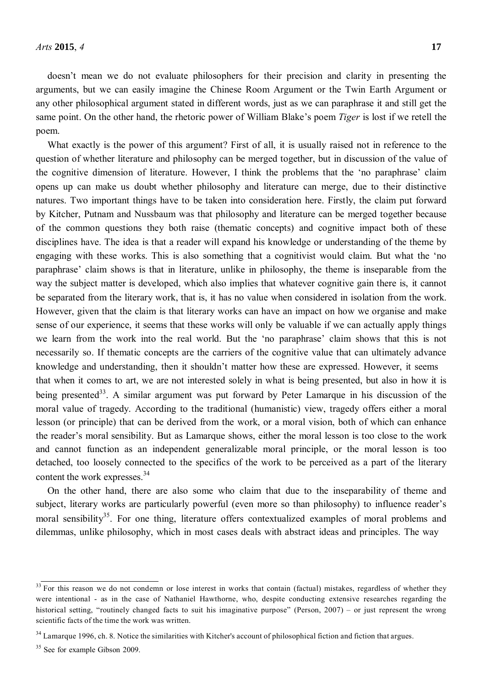doesn't mean we do not evaluate philosophers for their precision and clarity in presenting the arguments, but we can easily imagine the Chinese Room Argument or the Twin Earth Argument or any other philosophical argument stated in different words, just as we can paraphrase it and still get the same point. On the other hand, the rhetoric power of William Blake's poem *Tiger* is lost if we retell the poem.

What exactly is the power of this argument? First of all, it is usually raised not in reference to the question of whether literature and philosophy can be merged together, but in discussion of the value of the cognitive dimension of literature. However, I think the problems that the 'no paraphrase' claim opens up can make us doubt whether philosophy and literature can merge, due to their distinctive natures. Two important things have to be taken into consideration here. Firstly, the claim put forward by Kitcher, Putnam and Nussbaum was that philosophy and literature can be merged together because of the common questions they both raise (thematic concepts) and cognitive impact both of these disciplines have. The idea is that a reader will expand his knowledge or understanding of the theme by engaging with these works. This is also something that a cognitivist would claim. But what the 'no paraphrase' claim shows is that in literature, unlike in philosophy, the theme is inseparable from the way the subject matter is developed, which also implies that whatever cognitive gain there is, it cannot be separated from the literary work, that is, it has no value when considered in isolation from the work. However, given that the claim is that literary works can have an impact on how we organise and make sense of our experience, it seems that these works will only be valuable if we can actually apply things we learn from the work into the real world. But the 'no paraphrase' claim shows that this is not necessarily so. If thematic concepts are the carriers of the cognitive value that can ultimately advance knowledge and understanding, then it shouldn't matter how these are expressed. However, it seems that when it comes to art, we are not interested solely in what is being presented, but also in how it is being presented<sup>33</sup>. A similar argument was put forward by Peter Lamarque in his discussion of the moral value of tragedy. According to the traditional (humanistic) view, tragedy offers either a moral lesson (or principle) that can be derived from the work, or a moral vision, both of which can enhance the reader's moral sensibility. But as Lamarque shows, either the moral lesson is too close to the work and cannot function as an independent generalizable moral principle, or the moral lesson is too detached, too loosely connected to the specifics of the work to be perceived as a part of the literary content the work expresses.<sup>34</sup>

On the other hand, there are also some who claim that due to the inseparability of theme and subject, literary works are particularly powerful (even more so than philosophy) to influence reader's moral sensibility<sup>35</sup>. For one thing, literature offers contextualized examples of moral problems and dilemmas, unlike philosophy, which in most cases deals with abstract ideas and principles. The way

 $33$  For this reason we do not condemn or lose interest in works that contain (factual) mistakes, regardless of whether they were intentional - as in the case of Nathaniel Hawthorne, who, despite conducting extensive researches regarding the historical setting, "routinely changed facts to suit his imaginative purpose" (Person, 2007) – or just represent the wrong scientific facts of the time the work was written.

<sup>&</sup>lt;sup>34</sup> Lamarque 1996, ch. 8. Notice the similarities with Kitcher's account of philosophical fiction and fiction that argues.

<sup>&</sup>lt;sup>35</sup> See for example Gibson 2009.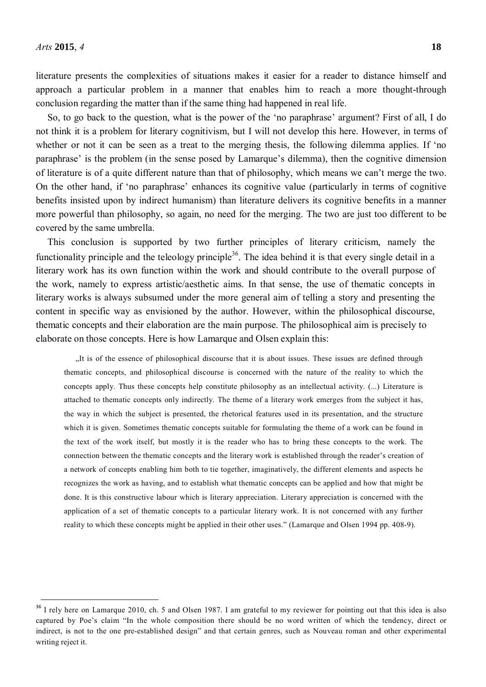literature presents the complexities of situations makes it easier for a reader to distance himself and approach a particular problem in a manner that enables him to reach a more thought-through conclusion regarding the matter than if the same thing had happened in real life.

So, to go back to the question, what is the power of the 'no paraphrase' argument? First of all, I do not think it is a problem for literary cognitivism, but I will not develop this here. However, in terms of whether or not it can be seen as a treat to the merging thesis, the following dilemma applies. If 'no paraphrase' is the problem (in the sense posed by Lamarque's dilemma), then the cognitive dimension of literature is of a quite different nature than that of philosophy, which means we can't merge the two. On the other hand, if 'no paraphrase' enhances its cognitive value (particularly in terms of cognitive benefits insisted upon by indirect humanism) than literature delivers its cognitive benefits in a manner more powerful than philosophy, so again, no need for the merging. The two are just too different to be covered by the same umbrella.

This conclusion is supported by two further principles of literary criticism, namely the functionality principle and the teleology principle<sup>36</sup>. The idea behind it is that every single detail in a literary work has its own function within the work and should contribute to the overall purpose of the work, namely to express artistic/aesthetic aims. In that sense, the use of thematic concepts in literary works is always subsumed under the more general aim of telling a story and presenting the content in specific way as envisioned by the author. However, within the philosophical discourse, thematic concepts and their elaboration are the main purpose. The philosophical aim is precisely to elaborate on those concepts. Here is how Lamarque and Olsen explain this:

"It is of the essence of philosophical discourse that it is about issues. These issues are defined through thematic concepts, and philosophical discourse is concerned with the nature of the reality to which the concepts apply. Thus these concepts help constitute philosophy as an intellectual activity. (...) Literature is attached to thematic concepts only indirectly. The theme of a literary work emerges from the subject it has, the way in which the subject is presented, the rhetorical features used in its presentation, and the structure which it is given. Sometimes thematic concepts suitable for formulating the theme of a work can be found in the text of the work itself, but mostly it is the reader who has to bring these concepts to the work. The connection between the thematic concepts and the literary work is established through the reader's creation of a network of concepts enabling him both to tie together, imaginatively, the different elements and aspects he recognizes the work as having, and to establish what thematic concepts can be applied and how that might be done. It is this constructive labour which is literary appreciation. Literary appreciation is concerned with the application of a set of thematic concepts to a particular literary work. It is not concerned with any further reality to which these concepts might be applied in their other uses." (Lamarque and Olsen 1994 pp. 408-9).

<sup>&</sup>lt;sup>36</sup> I rely here on Lamarque 2010, ch. 5 and Olsen 1987. I am grateful to my reviewer for pointing out that this idea is also captured by Poe's claim "In the whole composition there should be no word written of which the tendency, direct or indirect, is not to the one pre-established design" and that certain genres, such as Nouveau roman and other experimental writing reject it.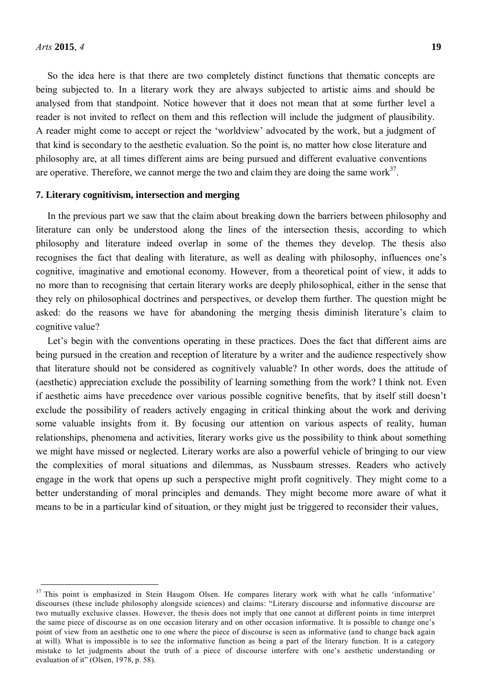So the idea here is that there are two completely distinct functions that thematic concepts are being subjected to. In a literary work they are always subjected to artistic aims and should be analysed from that standpoint. Notice however that it does not mean that at some further level a reader is not invited to reflect on them and this reflection will include the judgment of plausibility. A reader might come to accept or reject the 'worldview' advocated by the work, but a judgment of that kind is secondary to the aesthetic evaluation. So the point is, no matter how close literature and philosophy are, at all times different aims are being pursued and different evaluative conventions are operative. Therefore, we cannot merge the two and claim they are doing the same work $3^7$ .

#### **7. Literary cognitivism, intersection and merging**

In the previous part we saw that the claim about breaking down the barriers between philosophy and literature can only be understood along the lines of the intersection thesis, according to which philosophy and literature indeed overlap in some of the themes they develop. The thesis also recognises the fact that dealing with literature, as well as dealing with philosophy, influences one's cognitive, imaginative and emotional economy. However, from a theoretical point of view, it adds to no more than to recognising that certain literary works are deeply philosophical, either in the sense that they rely on philosophical doctrines and perspectives, or develop them further. The question might be asked: do the reasons we have for abandoning the merging thesis diminish literature's claim to cognitive value?

Let's begin with the conventions operating in these practices. Does the fact that different aims are being pursued in the creation and reception of literature by a writer and the audience respectively show that literature should not be considered as cognitively valuable? In other words, does the attitude of (aesthetic) appreciation exclude the possibility of learning something from the work? I think not. Even if aesthetic aims have precedence over various possible cognitive benefits, that by itself still doesn't exclude the possibility of readers actively engaging in critical thinking about the work and deriving some valuable insights from it. By focusing our attention on various aspects of reality, human relationships, phenomena and activities, literary works give us the possibility to think about something we might have missed or neglected. Literary works are also a powerful vehicle of bringing to our view the complexities of moral situations and dilemmas, as Nussbaum stresses. Readers who actively engage in the work that opens up such a perspective might profit cognitively. They might come to a better understanding of moral principles and demands. They might become more aware of what it means to be in a particular kind of situation, or they might just be triggered to reconsider their values,

<sup>&</sup>lt;sup>37</sup> This point is emphasized in Stein Haugom Olsen. He compares literary work with what he calls 'informative' discourses (these include philosophy alongside sciences) and claims: "Literary discourse and informative discourse are two mutually exclusive classes. However, the thesis does not imply that one cannot at different points in time interpret the same piece of discourse as on one occasion literary and on other occasion informative. It is possible to change one's point of view from an aesthetic one to one where the piece of discourse is seen as informative (and to change back again at will). What is impossible is to see the informative function as being a part of the literary function. It is a category mistake to let judgments about the truth of a piece of discourse interfere with one's aesthetic understanding or evaluation of it" (Olsen, 1978, p. 58).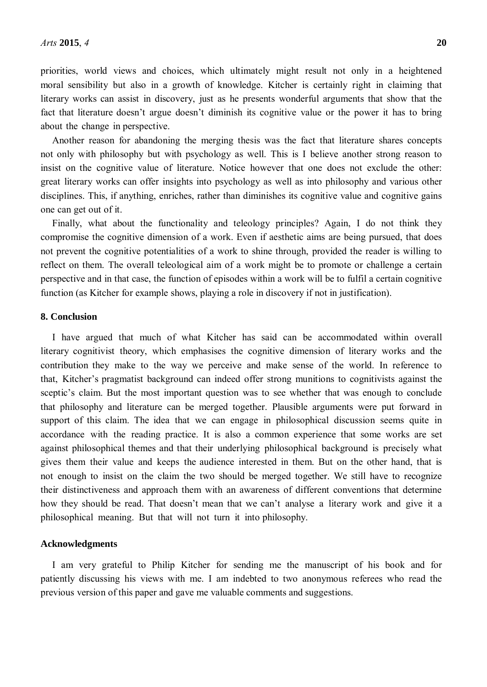priorities, world views and choices, which ultimately might result not only in a heightened moral sensibility but also in a growth of knowledge. Kitcher is certainly right in claiming that literary works can assist in discovery, just as he presents wonderful arguments that show that the fact that literature doesn't argue doesn't diminish its cognitive value or the power it has to bring about the change in perspective.

Another reason for abandoning the merging thesis was the fact that literature shares concepts not only with philosophy but with psychology as well. This is I believe another strong reason to insist on the cognitive value of literature. Notice however that one does not exclude the other: great literary works can offer insights into psychology as well as into philosophy and various other disciplines. This, if anything, enriches, rather than diminishes its cognitive value and cognitive gains one can get out of it.

Finally, what about the functionality and teleology principles? Again, I do not think they compromise the cognitive dimension of a work. Even if aesthetic aims are being pursued, that does not prevent the cognitive potentialities of a work to shine through, provided the reader is willing to reflect on them. The overall teleological aim of a work might be to promote or challenge a certain perspective and in that case, the function of episodes within a work will be to fulfil a certain cognitive function (as Kitcher for example shows, playing a role in discovery if not in justification).

## **8. Conclusion**

I have argued that much of what Kitcher has said can be accommodated within overall literary cognitivist theory, which emphasises the cognitive dimension of literary works and the contribution they make to the way we perceive and make sense of the world. In reference to that, Kitcher's pragmatist background can indeed offer strong munitions to cognitivists against the sceptic's claim. But the most important question was to see whether that was enough to conclude that philosophy and literature can be merged together. Plausible arguments were put forward in support of this claim. The idea that we can engage in philosophical discussion seems quite in accordance with the reading practice. It is also a common experience that some works are set against philosophical themes and that their underlying philosophical background is precisely what gives them their value and keeps the audience interested in them. But on the other hand, that is not enough to insist on the claim the two should be merged together. We still have to recognize their distinctiveness and approach them with an awareness of different conventions that determine how they should be read. That doesn't mean that we can't analyse a literary work and give it a philosophical meaning. But that will not turn it into philosophy.

#### **Acknowledgments**

I am very grateful to Philip Kitcher for sending me the manuscript of his book and for patiently discussing his views with me. I am indebted to two anonymous referees who read the previous version of this paper and gave me valuable comments and suggestions.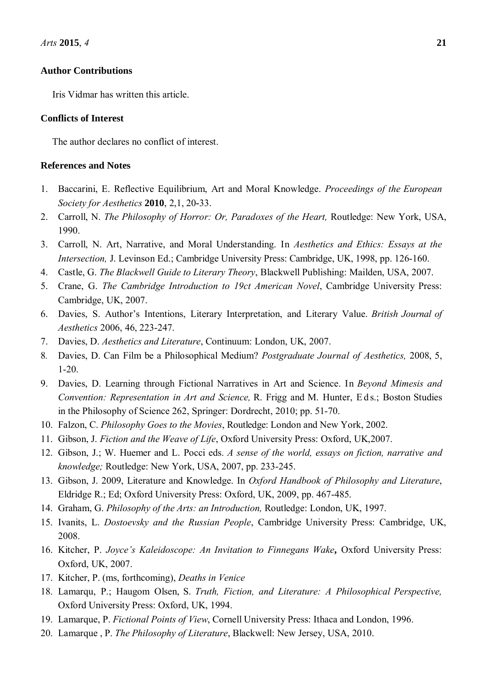#### **Author Contributions**

Iris Vidmar has written this article.

#### **Conflicts of Interest**

The author declares no conflict of interest.

## **References and Notes**

- 1. Baccarini, E. Reflective Equilibrium, Art and Moral Knowledge. *Proceedings of the European Society for Aesthetics* **2010**, 2,1, 20**-**33.
- 2. Carroll, N. *The Philosophy of Horror: Or, Paradoxes of the Heart,* Routledge: New York, USA, 1990.
- 3. Carroll, N. Art, Narrative, and Moral Understanding. In *Aesthetics and Ethics: Essays at the Intersection,* J. Levinson Ed.; Cambridge University Press: Cambridge, UK, 1998, pp. 126-160.
- 4. Castle, G. *The Blackwell Guide to Literary Theory*, Blackwell Publishing: Mailden, USA, 2007.
- 5. Crane, G. *The Cambridge Introduction to 19ct American Novel*, Cambridge University Press: Cambridge, UK, 2007.
- 6. Davies, S. Author's Intentions, Literary Interpretation, and Literary Value. *British Journal of Aesthetics* 2006, 46, 223-247.
- 7. Davies, D. *Aesthetics and Literature*, Continuum: London, UK, 2007.
- 8*.* Davies, D. Can Film be a Philosophical Medium? *Postgraduate Journal of Aesthetics,* 2008, 5, 1-20.
- 9. Davies, D. Learning through Fictional Narratives in Art and Science. In *Beyond Mimesis and Convention: Representation in Art and Science, R. Frigg and M. Hunter, Eds.; Boston Studies* in the Philosophy of Science 262, Springer: Dordrecht, 2010; pp. 51-70.
- 10. Falzon, C. *Philosophy Goes to the Movies*, Routledge: London and New York, 2002.
- 11. Gibson, J. *Fiction and the Weave of Life*, Oxford University Press: Oxford, UK,2007.
- 12. Gibson, J.; W. Huemer and L. Pocci eds. *A sense of the world, essays on fiction, narrative and knowledge;* Routledge: New York, USA, 2007, pp. 233-245.
- 13. Gibson, J. 2009, Literature and Knowledge. In *Oxford Handbook of Philosophy and Literature*, Eldridge R.; Ed; Oxford University Press: Oxford, UK, 2009, pp. 467-485.
- 14. Graham, G. *Philosophy of the Arts: an Introduction,* Routledge: London, UK, 1997.
- 15. Ivanits, L. *Dostoevsky and the Russian People*, Cambridge University Press: Cambridge, UK, 2008.
- 16. Kitcher, P. *Joyce's Kaleidoscope: An Invitation to Finnegans Wake***,** Oxford University Press: Oxford, UK, 2007.
- 17. Kitcher, P. (ms, forthcoming), *Deaths in Venice*
- 18. Lamarqu, P.; Haugom Olsen, S. *Truth, Fiction, and Literature: A Philosophical Perspective,*  Oxford University Press: Oxford, UK, 1994.
- 19. Lamarque, P. *Fictional Points of View*, Cornell University Press: Ithaca and London, 1996.
- 20. Lamarque , P. *The Philosophy of Literature*, Blackwell: New Jersey, USA, 2010.